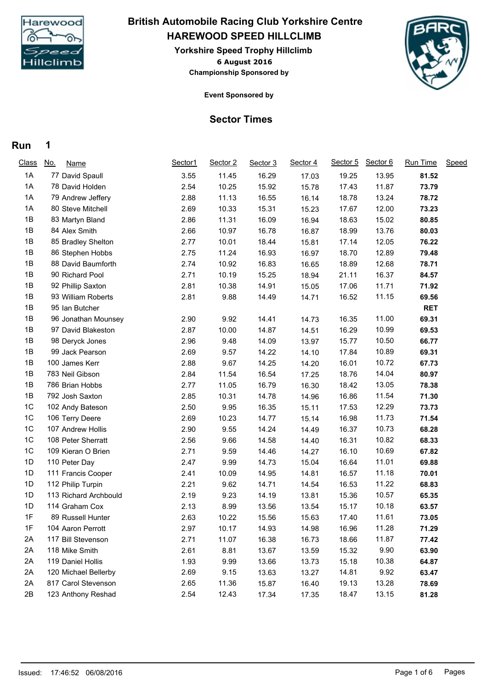

## **HAREWOOD SPEED HILLCLIMB British Automobile Racing Club Yorkshire Centre**

**6 August 2016 Yorkshire Speed Trophy Hillclimb Championship Sponsored by**



**Event Sponsored by**

## **Sector Times**

## **Run 1**

| <b>Class</b> | <u>No.</u><br><b>Name</b> | Sector1 | Sector 2 | Sector 3 | Sector 4 | Sector 5 | Sector 6 | Run Time   | Speed |
|--------------|---------------------------|---------|----------|----------|----------|----------|----------|------------|-------|
| 1A           | 77 David Spaull           | 3.55    | 11.45    | 16.29    | 17.03    | 19.25    | 13.95    | 81.52      |       |
| 1A           | 78 David Holden           | 2.54    | 10.25    | 15.92    | 15.78    | 17.43    | 11.87    | 73.79      |       |
| 1A           | 79 Andrew Jeffery         | 2.88    | 11.13    | 16.55    | 16.14    | 18.78    | 13.24    | 78.72      |       |
| 1A           | 80 Steve Mitchell         | 2.69    | 10.33    | 15.31    | 15.23    | 17.67    | 12.00    | 73.23      |       |
| 1B           | 83 Martyn Bland           | 2.86    | 11.31    | 16.09    | 16.94    | 18.63    | 15.02    | 80.85      |       |
| 1B           | 84 Alex Smith             | 2.66    | 10.97    | 16.78    | 16.87    | 18.99    | 13.76    | 80.03      |       |
| 1B           | 85 Bradley Shelton        | 2.77    | 10.01    | 18.44    | 15.81    | 17.14    | 12.05    | 76.22      |       |
| 1B           | 86 Stephen Hobbs          | 2.75    | 11.24    | 16.93    | 16.97    | 18.70    | 12.89    | 79.48      |       |
| 1B           | 88 David Baumforth        | 2.74    | 10.92    | 16.83    | 16.65    | 18.89    | 12.68    | 78.71      |       |
| 1B           | 90 Richard Pool           | 2.71    | 10.19    | 15.25    | 18.94    | 21.11    | 16.37    | 84.57      |       |
| 1B           | 92 Phillip Saxton         | 2.81    | 10.38    | 14.91    | 15.05    | 17.06    | 11.71    | 71.92      |       |
| 1B           | 93 William Roberts        | 2.81    | 9.88     | 14.49    | 14.71    | 16.52    | 11.15    | 69.56      |       |
| 1B           | 95 Ian Butcher            |         |          |          |          |          |          | <b>RET</b> |       |
| 1B           | 96 Jonathan Mounsey       | 2.90    | 9.92     | 14.41    | 14.73    | 16.35    | 11.00    | 69.31      |       |
| 1B           | 97 David Blakeston        | 2.87    | 10.00    | 14.87    | 14.51    | 16.29    | 10.99    | 69.53      |       |
| 1B           | 98 Deryck Jones           | 2.96    | 9.48     | 14.09    | 13.97    | 15.77    | 10.50    | 66.77      |       |
| 1B           | 99 Jack Pearson           | 2.69    | 9.57     | 14.22    | 14.10    | 17.84    | 10.89    | 69.31      |       |
| 1B           | 100 James Kerr            | 2.88    | 9.67     | 14.25    | 14.20    | 16.01    | 10.72    | 67.73      |       |
| 1B           | 783 Neil Gibson           | 2.84    | 11.54    | 16.54    | 17.25    | 18.76    | 14.04    | 80.97      |       |
| 1B           | 786 Brian Hobbs           | 2.77    | 11.05    | 16.79    | 16.30    | 18.42    | 13.05    | 78.38      |       |
| 1B           | 792 Josh Saxton           | 2.85    | 10.31    | 14.78    | 14.96    | 16.86    | 11.54    | 71.30      |       |
| 1C           | 102 Andy Bateson          | 2.50    | 9.95     | 16.35    | 15.11    | 17.53    | 12.29    | 73.73      |       |
| 1C           | 106 Terry Deere           | 2.69    | 10.23    | 14.77    | 15.14    | 16.98    | 11.73    | 71.54      |       |
| 1C           | 107 Andrew Hollis         | 2.90    | 9.55     | 14.24    | 14.49    | 16.37    | 10.73    | 68.28      |       |
| 1C           | 108 Peter Sherratt        | 2.56    | 9.66     | 14.58    | 14.40    | 16.31    | 10.82    | 68.33      |       |
| 1C           | 109 Kieran O Brien        | 2.71    | 9.59     | 14.46    | 14.27    | 16.10    | 10.69    | 67.82      |       |
| 1D           | 110 Peter Day             | 2.47    | 9.99     | 14.73    | 15.04    | 16.64    | 11.01    | 69.88      |       |
| 1D           | 111 Francis Cooper        | 2.41    | 10.09    | 14.95    | 14.81    | 16.57    | 11.18    | 70.01      |       |
| 1D           | 112 Philip Turpin         | 2.21    | 9.62     | 14.71    | 14.54    | 16.53    | 11.22    | 68.83      |       |
| 1D           | 113 Richard Archbould     | 2.19    | 9.23     | 14.19    | 13.81    | 15.36    | 10.57    | 65.35      |       |
| 1D           | 114 Graham Cox            | 2.13    | 8.99     | 13.56    | 13.54    | 15.17    | 10.18    | 63.57      |       |
| 1F           | 89 Russell Hunter         | 2.63    | 10.22    | 15.56    | 15.63    | 17.40    | 11.61    | 73.05      |       |
| 1F           | 104 Aaron Perrott         | 2.97    | 10.17    | 14.93    | 14.98    | 16.96    | 11.28    | 71.29      |       |
| 2A           | 117 Bill Stevenson        | 2.71    | 11.07    | 16.38    | 16.73    | 18.66    | 11.87    | 77.42      |       |
| 2A           | 118 Mike Smith            | 2.61    | 8.81     | 13.67    | 13.59    | 15.32    | 9.90     | 63.90      |       |
| 2A           | 119 Daniel Hollis         | 1.93    | 9.99     | 13.66    | 13.73    | 15.18    | 10.38    | 64.87      |       |
| 2A           | 120 Michael Bellerby      | 2.69    | 9.15     | 13.63    | 13.27    | 14.81    | 9.92     | 63.47      |       |
| 2A           | 817 Carol Stevenson       | 2.65    | 11.36    | 15.87    | 16.40    | 19.13    | 13.28    | 78.69      |       |
| 2B           | 123 Anthony Reshad        | 2.54    | 12.43    | 17.34    | 17.35    | 18.47    | 13.15    | 81.28      |       |
|              |                           |         |          |          |          |          |          |            |       |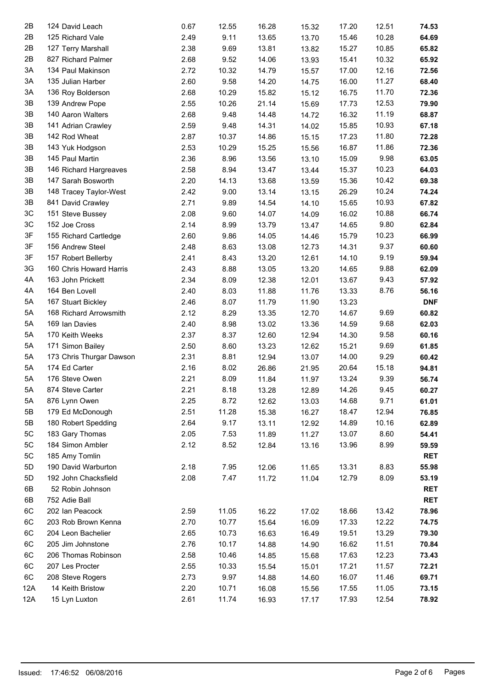| 2B  | 124 David Leach          | 0.67 | 12.55 | 16.28          | 15.32 | 17.20 | 12.51 | 74.53      |
|-----|--------------------------|------|-------|----------------|-------|-------|-------|------------|
| 2B  | 125 Richard Vale         | 2.49 | 9.11  | 13.65          | 13.70 | 15.46 | 10.28 | 64.69      |
| 2B  | 127 Terry Marshall       | 2.38 | 9.69  | 13.81          | 13.82 | 15.27 | 10.85 | 65.82      |
| 2B  | 827 Richard Palmer       | 2.68 | 9.52  | 14.06          | 13.93 | 15.41 | 10.32 | 65.92      |
| 3A  | 134 Paul Makinson        | 2.72 | 10.32 | 14.79          | 15.57 | 17.00 | 12.16 | 72.56      |
| 3A  | 135 Julian Harber        | 2.60 | 9.58  | 14.20          | 14.75 | 16.00 | 11.27 | 68.40      |
| 3A  | 136 Roy Bolderson        | 2.68 | 10.29 | 15.82          | 15.12 | 16.75 | 11.70 | 72.36      |
| 3B  | 139 Andrew Pope          | 2.55 | 10.26 | 21.14          | 15.69 | 17.73 | 12.53 | 79.90      |
| 3B  | 140 Aaron Walters        | 2.68 | 9.48  | 14.48          | 14.72 | 16.32 | 11.19 | 68.87      |
| 3B  | 141 Adrian Crawley       | 2.59 | 9.48  | 14.31          | 14.02 | 15.85 | 10.93 | 67.18      |
| 3B  | 142 Rod Wheat            | 2.87 | 10.37 | 14.86          | 15.15 | 17.23 | 11.80 | 72.28      |
| 3B  | 143 Yuk Hodgson          | 2.53 | 10.29 | 15.25          | 15.56 | 16.87 | 11.86 | 72.36      |
| 3B  | 145 Paul Martin          | 2.36 | 8.96  | 13.56          | 13.10 | 15.09 | 9.98  | 63.05      |
| 3B  | 146 Richard Hargreaves   | 2.58 | 8.94  | 13.47          | 13.44 | 15.37 | 10.23 | 64.03      |
| 3B  | 147 Sarah Bosworth       | 2.20 | 14.13 | 13.68          | 13.59 | 15.36 | 10.42 | 69.38      |
| 3B  | 148 Tracey Taylor-West   | 2.42 | 9.00  | 13.14          | 13.15 | 26.29 | 10.24 | 74.24      |
| 3B  | 841 David Crawley        | 2.71 | 9.89  | 14.54          | 14.10 | 15.65 | 10.93 | 67.82      |
| 3C  | 151 Steve Bussey         | 2.08 | 9.60  | 14.07          | 14.09 | 16.02 | 10.88 | 66.74      |
| 3C  | 152 Joe Cross            | 2.14 | 8.99  | 13.79          | 13.47 | 14.65 | 9.80  | 62.84      |
| 3F  | 155 Richard Cartledge    | 2.60 | 9.86  | 14.05          | 14.46 | 15.79 | 10.23 | 66.99      |
| 3F  | 156 Andrew Steel         | 2.48 | 8.63  | 13.08          | 12.73 | 14.31 | 9.37  | 60.60      |
| 3F  | 157 Robert Bellerby      | 2.41 | 8.43  | 13.20          | 12.61 | 14.10 | 9.19  | 59.94      |
| 3G  | 160 Chris Howard Harris  | 2.43 | 8.88  | 13.05          | 13.20 | 14.65 | 9.88  | 62.09      |
| 4A  | 163 John Prickett        | 2.34 | 8.09  | 12.38          | 12.01 | 13.67 | 9.43  | 57.92      |
| 4A  | 164 Ben Lovell           | 2.40 | 8.03  | 11.88          | 11.76 | 13.33 | 8.76  | 56.16      |
| 5A  | 167 Stuart Bickley       | 2.46 | 8.07  | 11.79          | 11.90 | 13.23 |       | <b>DNF</b> |
| 5A  | 168 Richard Arrowsmith   | 2.12 | 8.29  | 13.35          | 12.70 | 14.67 | 9.69  | 60.82      |
| 5A  | 169 Ian Davies           | 2.40 | 8.98  | 13.02          | 13.36 | 14.59 | 9.68  | 62.03      |
| 5A  | 170 Keith Weeks          | 2.37 | 8.37  | 12.60          | 12.94 | 14.30 | 9.58  | 60.16      |
| 5A  | 171 Simon Bailey         | 2.50 | 8.60  | 13.23          | 12.62 | 15.21 | 9.69  | 61.85      |
| 5A  | 173 Chris Thurgar Dawson | 2.31 | 8.81  | 12.94          | 13.07 | 14.00 | 9.29  | 60.42      |
| 5A  | 174 Ed Carter            | 2.16 | 8.02  | 26.86          | 21.95 | 20.64 | 15.18 | 94.81      |
| 5A  | 176 Steve Owen           | 2.21 | 8.09  | 11.84          | 11.97 | 13.24 | 9.39  | 56.74      |
| 5A  | 874 Steve Carter         | 2.21 | 8.18  | 13.28          | 12.89 | 14.26 | 9.45  | 60.27      |
| 5A  | 876 Lynn Owen            | 2.25 | 8.72  | 12.62          | 13.03 | 14.68 | 9.71  | 61.01      |
| 5B  | 179 Ed McDonough         | 2.51 | 11.28 | 15.38          | 16.27 | 18.47 | 12.94 | 76.85      |
| 5B  | 180 Robert Spedding      | 2.64 | 9.17  | 13.11          | 12.92 | 14.89 | 10.16 | 62.89      |
| 5C  | 183 Gary Thomas          | 2.05 | 7.53  | 11.89          | 11.27 | 13.07 | 8.60  | 54.41      |
| 5C  | 184 Simon Ambler         | 2.12 | 8.52  | 12.84          | 13.16 | 13.96 | 8.99  | 59.59      |
| 5C  | 185 Amy Tomlin           |      |       |                |       |       |       | <b>RET</b> |
| 5D  | 190 David Warburton      | 2.18 | 7.95  | 12.06          | 11.65 | 13.31 | 8.83  | 55.98      |
| 5D  | 192 John Chacksfield     | 2.08 | 7.47  | 11.72          | 11.04 | 12.79 | 8.09  | 53.19      |
| 6B  | 52 Robin Johnson         |      |       |                |       |       |       | <b>RET</b> |
| 6B  | 752 Adie Ball            |      |       |                |       |       |       | <b>RET</b> |
| 6C  | 202 Ian Peacock          | 2.59 | 11.05 | 16.22          | 17.02 | 18.66 | 13.42 | 78.96      |
| 6C  | 203 Rob Brown Kenna      | 2.70 | 10.77 | 15.64          | 16.09 | 17.33 | 12.22 | 74.75      |
| 6C  | 204 Leon Bachelier       | 2.65 | 10.73 | 16.63          | 16.49 | 19.51 | 13.29 | 79.30      |
| 6C  | 205 Jim Johnstone        | 2.76 | 10.17 |                |       | 16.62 | 11.51 | 70.84      |
| 6C  |                          |      | 10.46 | 14.88<br>14.85 | 14.90 |       | 12.23 |            |
|     | 206 Thomas Robinson      | 2.58 |       |                | 15.68 | 17.63 |       | 73.43      |
| 6C  | 207 Les Procter          | 2.55 | 10.33 | 15.54          | 15.01 | 17.21 | 11.57 | 72.21      |
| 6C  | 208 Steve Rogers         | 2.73 | 9.97  | 14.88          | 14.60 | 16.07 | 11.46 | 69.71      |
| 12A | 14 Keith Bristow         | 2.20 | 10.71 | 16.08          | 15.56 | 17.55 | 11.05 | 73.15      |
| 12A | 15 Lyn Luxton            | 2.61 | 11.74 | 16.93          | 17.17 | 17.93 | 12.54 | 78.92      |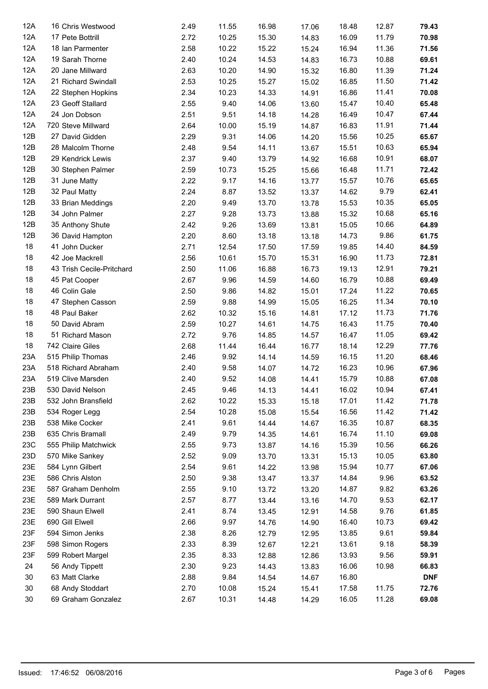| 12A | 16 Chris Westwood         | 2.49 | 11.55 | 16.98 | 17.06 | 18.48 | 12.87 | 79.43      |
|-----|---------------------------|------|-------|-------|-------|-------|-------|------------|
| 12A | 17 Pete Bottrill          | 2.72 | 10.25 | 15.30 | 14.83 | 16.09 | 11.79 | 70.98      |
| 12A | 18 Ian Parmenter          | 2.58 | 10.22 | 15.22 | 15.24 | 16.94 | 11.36 | 71.56      |
| 12A | 19 Sarah Thorne           | 2.40 | 10.24 | 14.53 | 14.83 | 16.73 | 10.88 | 69.61      |
| 12A | 20 Jane Millward          | 2.63 | 10.20 | 14.90 | 15.32 | 16.80 | 11.39 | 71.24      |
| 12A | 21 Richard Swindall       | 2.53 | 10.25 | 15.27 | 15.02 | 16.85 | 11.50 | 71.42      |
| 12A | 22 Stephen Hopkins        | 2.34 | 10.23 | 14.33 | 14.91 | 16.86 | 11.41 | 70.08      |
| 12A | 23 Geoff Stallard         | 2.55 | 9.40  | 14.06 | 13.60 | 15.47 | 10.40 | 65.48      |
| 12A | 24 Jon Dobson             | 2.51 | 9.51  | 14.18 | 14.28 | 16.49 | 10.47 | 67.44      |
| 12A | 720 Steve Millward        | 2.64 | 10.00 | 15.19 | 14.87 | 16.83 | 11.91 | 71.44      |
| 12B | 27 David Gidden           | 2.29 | 9.31  | 14.06 | 14.20 | 15.56 | 10.25 | 65.67      |
| 12B | 28 Malcolm Thorne         | 2.48 | 9.54  | 14.11 | 13.67 | 15.51 | 10.63 | 65.94      |
| 12B | 29 Kendrick Lewis         | 2.37 | 9.40  | 13.79 | 14.92 | 16.68 | 10.91 | 68.07      |
| 12B | 30 Stephen Palmer         | 2.59 | 10.73 | 15.25 | 15.66 | 16.48 | 11.71 | 72.42      |
| 12B | 31 June Matty             | 2.22 | 9.17  | 14.16 | 13.77 | 15.57 | 10.76 | 65.65      |
| 12B | 32 Paul Matty             | 2.24 | 8.87  | 13.52 | 13.37 | 14.62 | 9.79  | 62.41      |
| 12B | 33 Brian Meddings         | 2.20 | 9.49  | 13.70 | 13.78 | 15.53 | 10.35 | 65.05      |
| 12B | 34 John Palmer            | 2.27 | 9.28  | 13.73 | 13.88 | 15.32 | 10.68 | 65.16      |
| 12B | 35 Anthony Shute          | 2.42 | 9.26  | 13.69 | 13.81 | 15.05 | 10.66 | 64.89      |
| 12B | 36 David Hampton          | 2.20 | 8.60  | 13.18 | 13.18 | 14.73 | 9.86  | 61.75      |
| 18  | 41 John Ducker            | 2.71 | 12.54 | 17.50 | 17.59 | 19.85 | 14.40 | 84.59      |
| 18  | 42 Joe Mackrell           | 2.56 | 10.61 | 15.70 | 15.31 | 16.90 | 11.73 | 72.81      |
| 18  | 43 Trish Cecile-Pritchard | 2.50 | 11.06 | 16.88 | 16.73 | 19.13 | 12.91 | 79.21      |
| 18  | 45 Pat Cooper             | 2.67 | 9.96  | 14.59 | 14.60 | 16.79 | 10.88 | 69.49      |
| 18  | 46 Colin Gale             | 2.50 | 9.86  | 14.82 | 15.01 | 17.24 | 11.22 | 70.65      |
| 18  | 47 Stephen Casson         | 2.59 | 9.88  | 14.99 | 15.05 | 16.25 | 11.34 | 70.10      |
| 18  | 48 Paul Baker             | 2.62 | 10.32 | 15.16 | 14.81 | 17.12 | 11.73 | 71.76      |
| 18  | 50 David Abram            | 2.59 | 10.27 | 14.61 | 14.75 | 16.43 | 11.75 | 70.40      |
| 18  | 51 Richard Mason          | 2.72 | 9.76  | 14.85 | 14.57 | 16.47 | 11.05 | 69.42      |
| 18  | 742 Claire Giles          | 2.68 | 11.44 | 16.44 | 16.77 | 18.14 | 12.29 | 77.76      |
| 23A | 515 Philip Thomas         | 2.46 | 9.92  | 14.14 | 14.59 | 16.15 | 11.20 | 68.46      |
| 23A | 518 Richard Abraham       | 2.40 | 9.58  | 14.07 | 14.72 | 16.23 | 10.96 | 67.96      |
| 23A | 519 Clive Marsden         | 2.40 | 9.52  | 14.08 | 14.41 | 15.79 | 10.88 | 67.08      |
| 23B | 530 David Nelson          | 2.45 | 9.46  | 14.13 | 14.41 | 16.02 | 10.94 | 67.41      |
| 23B | 532 John Bransfield       | 2.62 | 10.22 | 15.33 | 15.18 | 17.01 | 11.42 | 71.78      |
| 23B | 534 Roger Legg            | 2.54 | 10.28 | 15.08 | 15.54 | 16.56 | 11.42 | 71.42      |
| 23B | 538 Mike Cocker           | 2.41 | 9.61  | 14.44 | 14.67 | 16.35 | 10.87 | 68.35      |
| 23B | 635 Chris Bramall         | 2.49 | 9.79  | 14.35 | 14.61 | 16.74 | 11.10 | 69.08      |
| 23C | 555 Philip Matchwick      | 2.55 | 9.73  | 13.87 | 14.16 | 15.39 | 10.56 | 66.26      |
| 23D | 570 Mike Sankey           | 2.52 | 9.09  | 13.70 | 13.31 | 15.13 | 10.05 | 63.80      |
| 23E | 584 Lynn Gilbert          | 2.54 | 9.61  | 14.22 | 13.98 | 15.94 | 10.77 | 67.06      |
| 23E | 586 Chris Alston          | 2.50 | 9.38  | 13.47 | 13.37 | 14.84 | 9.96  | 63.52      |
| 23E | 587 Graham Denholm        | 2.55 | 9.10  | 13.72 | 13.20 | 14.87 | 9.82  | 63.26      |
| 23E | 589 Mark Durrant          | 2.57 | 8.77  | 13.44 | 13.16 | 14.70 | 9.53  | 62.17      |
| 23E | 590 Shaun Elwell          | 2.41 | 8.74  | 13.45 |       | 14.58 | 9.76  | 61.85      |
| 23E | 690 Gill Elwell           |      |       |       | 12.91 |       | 10.73 |            |
| 23F |                           | 2.66 | 9.97  | 14.76 | 14.90 | 16.40 | 9.61  | 69.42      |
| 23F | 594 Simon Jenks           | 2.38 | 8.26  | 12.79 | 12.95 | 13.85 |       | 59.84      |
|     | 598 Simon Rogers          | 2.33 | 8.39  | 12.67 | 12.21 | 13.61 | 9.18  | 58.39      |
| 23F | 599 Robert Margel         | 2.35 | 8.33  | 12.88 | 12.86 | 13.93 | 9.56  | 59.91      |
| 24  | 56 Andy Tippett           | 2.30 | 9.23  | 14.43 | 13.83 | 16.06 | 10.98 | 66.83      |
| 30  | 63 Matt Clarke            | 2.88 | 9.84  | 14.54 | 14.67 | 16.80 |       | <b>DNF</b> |
| 30  | 68 Andy Stoddart          | 2.70 | 10.08 | 15.24 | 15.41 | 17.58 | 11.75 | 72.76      |
| 30  | 69 Graham Gonzalez        | 2.67 | 10.31 | 14.48 | 14.29 | 16.05 | 11.28 | 69.08      |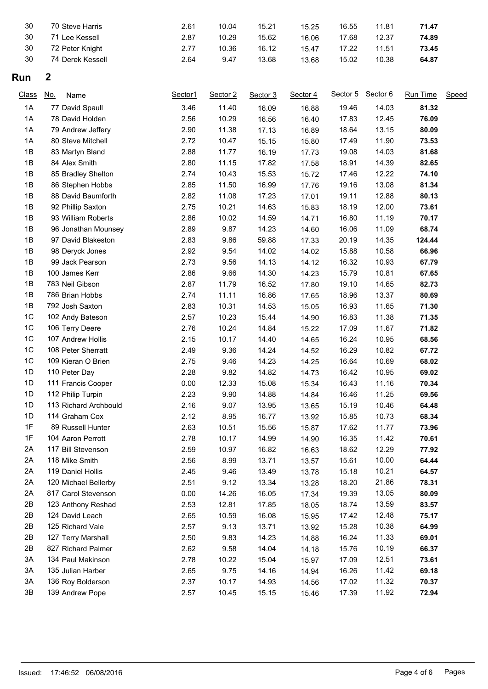| 30             | 70 Steve Harris           | 2.61    | 10.04    | 15.21    | 15.25    | 16.55    | 11.81    | 71.47    |       |
|----------------|---------------------------|---------|----------|----------|----------|----------|----------|----------|-------|
| 30             | 71 Lee Kessell            | 2.87    | 10.29    | 15.62    | 16.06    | 17.68    | 12.37    | 74.89    |       |
| 30             | 72 Peter Knight           | 2.77    | 10.36    | 16.12    | 15.47    | 17.22    | 11.51    | 73.45    |       |
| $30\,$         | 74 Derek Kessell          | 2.64    | 9.47     | 13.68    | 13.68    | 15.02    | 10.38    | 64.87    |       |
| Run            | $\boldsymbol{2}$          |         |          |          |          |          |          |          |       |
| <b>Class</b>   | <u>No.</u><br><b>Name</b> | Sector1 | Sector 2 | Sector 3 | Sector 4 | Sector 5 | Sector 6 | Run Time | Speed |
| 1A             | 77 David Spaull           | 3.46    | 11.40    | 16.09    | 16.88    | 19.46    | 14.03    | 81.32    |       |
| 1A             | 78 David Holden           | 2.56    | 10.29    | 16.56    | 16.40    | 17.83    | 12.45    | 76.09    |       |
| 1A             | 79 Andrew Jeffery         | 2.90    | 11.38    | 17.13    | 16.89    | 18.64    | 13.15    | 80.09    |       |
| 1A             | 80 Steve Mitchell         | 2.72    | 10.47    | 15.15    | 15.80    | 17.49    | 11.90    | 73.53    |       |
| 1B             | 83 Martyn Bland           | 2.88    | 11.77    | 16.19    | 17.73    | 19.08    | 14.03    | 81.68    |       |
| 1B             | 84 Alex Smith             | 2.80    | 11.15    | 17.82    | 17.58    | 18.91    | 14.39    | 82.65    |       |
| 1B             | 85 Bradley Shelton        | 2.74    | 10.43    | 15.53    | 15.72    | 17.46    | 12.22    | 74.10    |       |
| 1B             | 86 Stephen Hobbs          | 2.85    | 11.50    | 16.99    | 17.76    | 19.16    | 13.08    | 81.34    |       |
| 1B             | 88 David Baumforth        | 2.82    | 11.08    | 17.23    | 17.01    | 19.11    | 12.88    | 80.13    |       |
| 1B             | 92 Phillip Saxton         | 2.75    | 10.21    | 14.63    | 15.83    | 18.19    | 12.00    | 73.61    |       |
| 1B             | 93 William Roberts        | 2.86    | 10.02    | 14.59    | 14.71    | 16.80    | 11.19    | 70.17    |       |
| 1B             | 96 Jonathan Mounsey       | 2.89    | 9.87     | 14.23    | 14.60    | 16.06    | 11.09    | 68.74    |       |
| 1B             | 97 David Blakeston        | 2.83    | 9.86     | 59.88    | 17.33    | 20.19    | 14.35    | 124.44   |       |
| 1B             | 98 Deryck Jones           | 2.92    | 9.54     | 14.02    | 14.02    | 15.88    | 10.58    | 66.96    |       |
| 1B             | 99 Jack Pearson           | 2.73    | 9.56     | 14.13    | 14.12    | 16.32    | 10.93    | 67.79    |       |
| 1B             | 100 James Kerr            | 2.86    | 9.66     | 14.30    | 14.23    | 15.79    | 10.81    | 67.65    |       |
| 1B             | 783 Neil Gibson           | 2.87    | 11.79    | 16.52    | 17.80    | 19.10    | 14.65    | 82.73    |       |
| 1B             | 786 Brian Hobbs           | 2.74    | 11.11    | 16.86    | 17.65    | 18.96    | 13.37    | 80.69    |       |
| 1B             | 792 Josh Saxton           | 2.83    | 10.31    | 14.53    | 15.05    | 16.93    | 11.65    | 71.30    |       |
| 1 <sup>C</sup> | 102 Andy Bateson          | 2.57    | 10.23    | 15.44    | 14.90    | 16.83    | 11.38    | 71.35    |       |
| 1 <sup>C</sup> | 106 Terry Deere           | 2.76    | 10.24    | 14.84    | 15.22    | 17.09    | 11.67    | 71.82    |       |
| 1 <sup>C</sup> | 107 Andrew Hollis         | 2.15    | 10.17    | 14.40    | 14.65    | 16.24    | 10.95    | 68.56    |       |
| 1 <sup>C</sup> | 108 Peter Sherratt        | 2.49    | 9.36     | 14.24    | 14.52    | 16.29    | 10.82    | 67.72    |       |
| 1C             | 109 Kieran O Brien        | 2.75    | 9.46     | 14.23    | 14.25    | 16.64    | 10.69    | 68.02    |       |
| 1D             | 110 Peter Day             | 2.28    | 9.82     | 14.82    | 14.73    | 16.42    | 10.95    | 69.02    |       |
| 1D             | 111 Francis Cooper        | 0.00    | 12.33    | 15.08    | 15.34    | 16.43    | 11.16    | 70.34    |       |
| 1D             | 112 Philip Turpin         | 2.23    | 9.90     | 14.88    | 14.84    | 16.46    | 11.25    | 69.56    |       |
| 1D             | 113 Richard Archbould     | 2.16    | 9.07     | 13.95    | 13.65    | 15.19    | 10.46    | 64.48    |       |
| 1D             | 114 Graham Cox            | 2.12    | 8.95     | 16.77    | 13.92    | 15.85    | 10.73    | 68.34    |       |
| 1F             | 89 Russell Hunter         | 2.63    | 10.51    | 15.56    | 15.87    | 17.62    | 11.77    | 73.96    |       |
| 1F             | 104 Aaron Perrott         | 2.78    | 10.17    | 14.99    | 14.90    | 16.35    | 11.42    | 70.61    |       |
| 2A             | 117 Bill Stevenson        | 2.59    | 10.97    | 16.82    | 16.63    | 18.62    | 12.29    | 77.92    |       |
| 2A             | 118 Mike Smith            | 2.56    | 8.99     | 13.71    | 13.57    | 15.61    | 10.00    | 64.44    |       |
| 2A             | 119 Daniel Hollis         | 2.45    | 9.46     | 13.49    | 13.78    | 15.18    | 10.21    | 64.57    |       |
| 2A             | 120 Michael Bellerby      | 2.51    | 9.12     | 13.34    | 13.28    | 18.20    | 21.86    | 78.31    |       |
| 2A             | 817 Carol Stevenson       | 0.00    | 14.26    | 16.05    | 17.34    | 19.39    | 13.05    | 80.09    |       |
| 2B             | 123 Anthony Reshad        | 2.53    | 12.81    | 17.85    | 18.05    | 18.74    | 13.59    | 83.57    |       |
| 2B             | 124 David Leach           | 2.65    | 10.59    | 16.08    | 15.95    | 17.42    | 12.48    | 75.17    |       |
| 2B             | 125 Richard Vale          | 2.57    | 9.13     | 13.71    | 13.92    | 15.28    | 10.38    | 64.99    |       |
| 2B             | 127 Terry Marshall        | 2.50    | 9.83     | 14.23    | 14.88    | 16.24    | 11.33    | 69.01    |       |
| 2B             | 827 Richard Palmer        | 2.62    | 9.58     | 14.04    | 14.18    | 15.76    | 10.19    | 66.37    |       |
| 3A             | 134 Paul Makinson         | 2.78    | 10.22    | 15.04    | 15.97    | 17.09    | 12.51    | 73.61    |       |
| 3A             | 135 Julian Harber         | 2.65    | 9.75     | 14.16    | 14.94    | 16.26    | 11.42    | 69.18    |       |
| 3A             | 136 Roy Bolderson         | 2.37    | 10.17    | 14.93    | 14.56    | 17.02    | 11.32    | 70.37    |       |
| 3B             | 139 Andrew Pope           | 2.57    | 10.45    | 15.15    | 15.46    | 17.39    | 11.92    | 72.94    |       |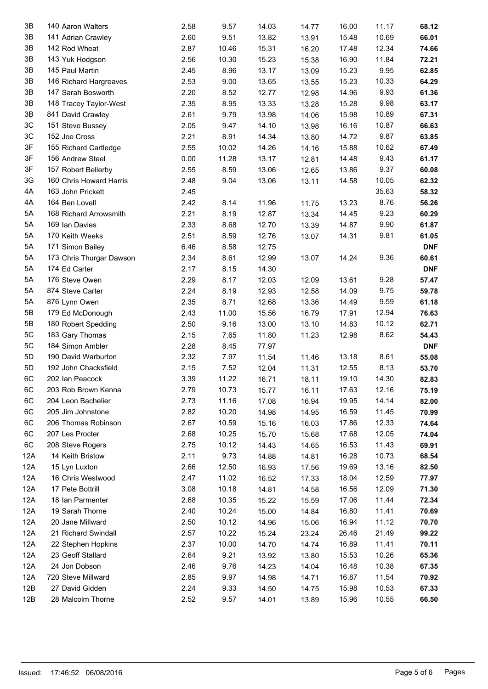| 3B  | 140 Aaron Walters        | 2.58 | 9.57  | 14.03 | 14.77          | 16.00 | 11.17 | 68.12      |
|-----|--------------------------|------|-------|-------|----------------|-------|-------|------------|
| 3B  | 141 Adrian Crawley       | 2.60 | 9.51  | 13.82 | 13.91          | 15.48 | 10.69 | 66.01      |
| 3B  | 142 Rod Wheat            | 2.87 | 10.46 | 15.31 | 16.20          | 17.48 | 12.34 | 74.66      |
| 3B  | 143 Yuk Hodgson          | 2.56 | 10.30 | 15.23 | 15.38          | 16.90 | 11.84 | 72.21      |
| 3B  | 145 Paul Martin          | 2.45 | 8.96  | 13.17 | 13.09          | 15.23 | 9.95  | 62.85      |
| 3B  | 146 Richard Hargreaves   | 2.53 | 9.00  | 13.65 | 13.55          | 15.23 | 10.33 | 64.29      |
| 3B  | 147 Sarah Bosworth       | 2.20 | 8.52  | 12.77 | 12.98          | 14.96 | 9.93  | 61.36      |
| 3B  | 148 Tracey Taylor-West   | 2.35 | 8.95  | 13.33 | 13.28          | 15.28 | 9.98  | 63.17      |
| 3B  | 841 David Crawley        | 2.61 | 9.79  | 13.98 | 14.06          | 15.98 | 10.89 | 67.31      |
| 3C  | 151 Steve Bussey         | 2.05 | 9.47  | 14.10 | 13.98          | 16.16 | 10.87 | 66.63      |
| 3C  | 152 Joe Cross            | 2.21 | 8.91  | 14.34 | 13.80          | 14.72 | 9.87  | 63.85      |
| 3F  | 155 Richard Cartledge    | 2.55 | 10.02 | 14.26 | 14.16          | 15.88 | 10.62 | 67.49      |
| 3F  | 156 Andrew Steel         | 0.00 | 11.28 | 13.17 | 12.81          | 14.48 | 9.43  | 61.17      |
| 3F  | 157 Robert Bellerby      | 2.55 | 8.59  | 13.06 | 12.65          | 13.86 | 9.37  | 60.08      |
| 3G  | 160 Chris Howard Harris  | 2.48 | 9.04  | 13.06 | 13.11          | 14.58 | 10.05 | 62.32      |
| 4A  | 163 John Prickett        | 2.45 |       |       |                |       | 35.63 | 58.32      |
| 4A  | 164 Ben Lovell           | 2.42 | 8.14  | 11.96 | 11.75          | 13.23 | 8.76  | 56.26      |
| 5A  | 168 Richard Arrowsmith   | 2.21 | 8.19  | 12.87 | 13.34          | 14.45 | 9.23  | 60.29      |
| 5A  | 169 Ian Davies           | 2.33 | 8.68  | 12.70 | 13.39          | 14.87 | 9.90  | 61.87      |
| 5A  | 170 Keith Weeks          | 2.51 | 8.59  | 12.76 | 13.07          | 14.31 | 9.81  | 61.05      |
| 5A  | 171 Simon Bailey         | 6.46 | 8.58  | 12.75 |                |       |       | <b>DNF</b> |
| 5A  | 173 Chris Thurgar Dawson | 2.34 | 8.61  | 12.99 | 13.07          | 14.24 | 9.36  | 60.61      |
| 5A  | 174 Ed Carter            | 2.17 | 8.15  | 14.30 |                |       |       | <b>DNF</b> |
| 5A  | 176 Steve Owen           | 2.29 | 8.17  | 12.03 | 12.09          | 13.61 | 9.28  | 57.47      |
| 5A  | 874 Steve Carter         | 2.24 | 8.19  | 12.93 | 12.58          | 14.09 | 9.75  | 59.78      |
| 5A  | 876 Lynn Owen            | 2.35 | 8.71  | 12.68 | 13.36          | 14.49 | 9.59  | 61.18      |
| 5B  | 179 Ed McDonough         | 2.43 | 11.00 | 15.56 | 16.79          | 17.91 | 12.94 | 76.63      |
| 5B  | 180 Robert Spedding      | 2.50 | 9.16  | 13.00 | 13.10          | 14.83 | 10.12 | 62.71      |
| 5C  | 183 Gary Thomas          | 2.15 | 7.65  | 11.80 | 11.23          | 12.98 | 8.62  | 54.43      |
| 5C  | 184 Simon Ambler         | 2.28 | 8.45  | 77.97 |                |       |       | <b>DNF</b> |
| 5D  | 190 David Warburton      | 2.32 | 7.97  | 11.54 | 11.46          | 13.18 | 8.61  | 55.08      |
| 5D  | 192 John Chacksfield     | 2.15 | 7.52  | 12.04 | 11.31          | 12.55 | 8.13  | 53.70      |
| 6C  | 202 Ian Peacock          | 3.39 | 11.22 | 16.71 | 18.11          | 19.10 | 14.30 | 82.83      |
| 6C  | 203 Rob Brown Kenna      | 2.79 | 10.73 | 15.77 | 16.11          | 17.63 | 12.16 | 75.19      |
| 6C  | 204 Leon Bachelier       | 2.73 | 11.16 | 17.08 | 16.94          | 19.95 | 14.14 | 82.00      |
| 6C  | 205 Jim Johnstone        | 2.82 | 10.20 | 14.98 | 14.95          | 16.59 | 11.45 | 70.99      |
| 6C  | 206 Thomas Robinson      | 2.67 | 10.59 | 15.16 | 16.03          | 17.86 | 12.33 | 74.64      |
| 6C  | 207 Les Procter          | 2.68 | 10.25 | 15.70 | 15.68          | 17.68 | 12.05 | 74.04      |
| 6C  | 208 Steve Rogers         | 2.75 | 10.12 | 14.43 | 14.65          | 16.53 | 11.43 | 69.91      |
| 12A | 14 Keith Bristow         | 2.11 | 9.73  | 14.88 | 14.81          | 16.28 | 10.73 | 68.54      |
| 12A | 15 Lyn Luxton            | 2.66 | 12.50 | 16.93 | 17.56          | 19.69 | 13.16 | 82.50      |
| 12A | 16 Chris Westwood        | 2.47 | 11.02 | 16.52 | 17.33          | 18.04 | 12.59 | 77.97      |
| 12A | 17 Pete Bottrill         | 3.08 | 10.18 | 14.81 | 14.58          | 16.56 | 12.09 | 71.30      |
| 12A | 18 Ian Parmenter         | 2.68 | 10.35 | 15.22 | 15.59          | 17.06 | 11.44 | 72.34      |
| 12A | 19 Sarah Thorne          | 2.40 | 10.24 | 15.00 | 14.84          | 16.80 | 11.41 | 70.69      |
| 12A | 20 Jane Millward         | 2.50 | 10.12 | 14.96 | 15.06          | 16.94 | 11.12 | 70.70      |
| 12A | 21 Richard Swindall      | 2.57 | 10.22 | 15.24 | 23.24          | 26.46 | 21.49 | 99.22      |
| 12A | 22 Stephen Hopkins       | 2.37 | 10.00 | 14.70 | 14.74          | 16.89 | 11.41 | 70.11      |
| 12A | 23 Geoff Stallard        | 2.64 | 9.21  | 13.92 | 13.80          | 15.53 | 10.26 | 65.36      |
| 12A | 24 Jon Dobson            | 2.46 | 9.76  | 14.23 | 14.04          | 16.48 | 10.38 | 67.35      |
| 12A | 720 Steve Millward       | 2.85 | 9.97  | 14.98 |                | 16.87 | 11.54 | 70.92      |
| 12B | 27 David Gidden          | 2.24 | 9.33  | 14.50 | 14.71          | 15.98 | 10.53 | 67.33      |
| 12B | 28 Malcolm Thorne        | 2.52 | 9.57  |       | 14.75<br>13.89 | 15.96 | 10.55 | 66.50      |
|     |                          |      |       | 14.01 |                |       |       |            |